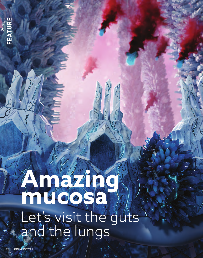## **FEATURE** FEATUR

# **Amazing mucosa** Let's visit the guts and the lungs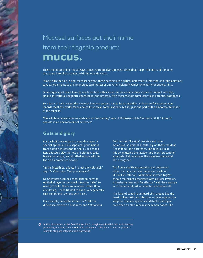### Mucosal surfaces get their name from their flagship product: **mucus.**

These membranes line the airways, lungs, reproductive, and gastrointestinal tracts—the parts of the body that come into direct contact with the outside world.

"Along with the skin, a non-mucosal surface, these barriers are a critical deterrent to infection and inflammation," says La Jolla Institute of Immunology (LJI) Professor and Chief Scientific Officer Mitchell Kronenberg, Ph.D.

Other organs just don't have as much contact with visitors. Yet mucosal surfaces come in contact with dirt, smoke, microflora, spaghetti, cheesecake, and broccoli. With these visitors come countless potential pathogens.

So a team of cells, called the mucosal immune system, has to be on standby on these surfaces where your innards meet the world. Mucus helps flush away some invaders, but it's just one part of the elaborate defenses of the mucosa.

"The whole mucosal immune system is so fascinating," says LJI Professor Hilde Cheroutre, Ph.D. "It has to operate in an environment of extremes."

#### **Guts and glory**

For each of these organs, a very thin layer of special epithelial cells separates your insides from outside threats (on the skin, cells called keratinocytes play the role of epithelial cells. Instead of mucus, an oil called sebum adds to the skin's protective power).

"In the intestines, this wall is just one cell thick," says Dr. Cheroutre. "Can you imagine?"

Dr. Cheroutre's lab has shed light on how the epithelial layer in the small intestine "talks" to nearby T cells. These are resident, rather than circulating, T cells trained to know, very generally, that something is wrong with a cell.

For example, an epithelial cell can't tell the difference between a blueberry and *Salmonella*. Both contain "foreign" proteins and other molecules, so epithelial cells rely on these resident T cells to tell the difference. Epithelial cells do this by analyzing the invader and then "presenting" a peptide that resembles the invader—somewhat like a mugshot.

The T cells see these peptides and determine either that an unfamiliar molecule is safe or RED ALERT. After all, *Salmonella* bacteria trigger certain molecules associated with cellular invasion. A blueberry does not. An effector T cell then swoops in to immediately kill an infected epithelial cell.

This kind of speed is unheard of in organs like the heart or liver. With an infection in these organs, the adaptive immune system will detect a pathogen only when an alert reaches the lymph nodes. The

 $\bm{\langle} \bm{\langle} \ \ \ \text{In this illustration, artist Brad Krajina, Ph.D., imagines epithelial cells as fortrees.}$ protecting the body from missile-like pathogens. Spiky blue T cells are poised ready to stop any infection from spreading.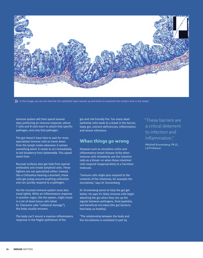

 $\sum$  In this image, we can see how the thin epithelial layer weaves up and down to maximize the surface area in the bowel.

immune system will then spend several days perfecting an immune response, where T cells and B cells learn to attack that specific pathogen, and only that pathogen.

The gut doesn't have time to wait for more specialized immune cells to travel down from the lymph nodes whenever it senses something weird. It needs to act immediately to tell blueberry from *Salmonella.* This speed saves lives.

Mucosal surfaces also get help from special antibodies and innate lymphoid cells. These fighters are not specialized either. Instead, like a Chihuahua hearing a doorbell, these cells get jumpy around anything unfamiliar and can quickly respond to a pathogen.

Yet the mucosal immune system must also tread lightly. While an inflammatory response in another organ, like the spleen, might result in a lot of dead tissue cells (what Dr. Cheroutre calls "collateral damage"), the body usually recovers.

The body can't mount a massive inflammatory response in the fragile epithelium of the

gut and risk friendly fire. Too many dead epithelial cells leads to a break in the barrier, leaky gut, nutrient deficiencies, inflammation, and severe infections.

#### **When things go wrong**

Diseases such as ulcerative colitis and inflammatory bowel disease strike when immune cells mistakenly see the intestine cells as a threat—or when these intestinal cells respond inappropriately to a harmless molecule.

"Immune cells might also respond to the contents of the intestines, for example the microbiota," says Dr. Kronenberg.

Dr. Kronenberg wants to help the gut get better. He says it's likely immune cells begin attacking the gut when they mix up the signals between pathogens, food peptides, and beneficial microbes (the gut bacteria that keep us healthy).

"The relationship between the body and the microbiome is mediated in part by

"These barriers are a critical deterrent to infection and inflammation."

Mitchell Kronenberg, Ph.D., LJI Professor